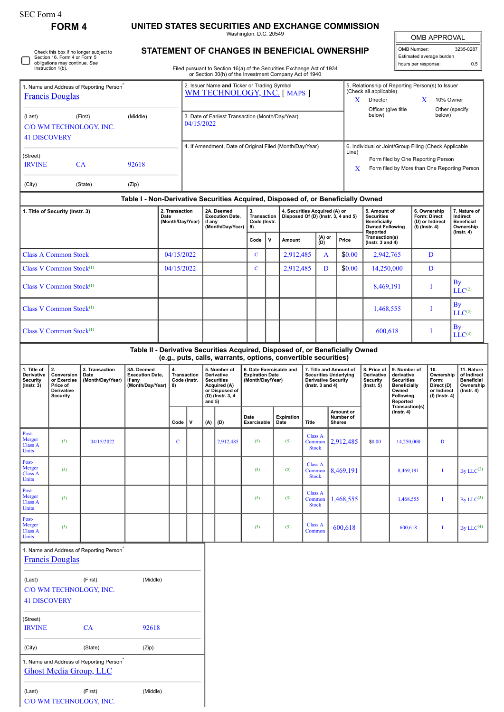| <b>SEC Form 4</b>                                                                                                            |                                                                              |                                                      |                                                                                                                                                                                                      |            |                                                                                                                                       |                                                                |        |                                                                                                              |                                            |                                                                                                                                                                                                            |                                                                                                                                                 |                                          |                                                    |                                                                                                                                                                            |                                                                  |                                                                                                          |                  |                                                                          |                                                                           |
|------------------------------------------------------------------------------------------------------------------------------|------------------------------------------------------------------------------|------------------------------------------------------|------------------------------------------------------------------------------------------------------------------------------------------------------------------------------------------------------|------------|---------------------------------------------------------------------------------------------------------------------------------------|----------------------------------------------------------------|--------|--------------------------------------------------------------------------------------------------------------|--------------------------------------------|------------------------------------------------------------------------------------------------------------------------------------------------------------------------------------------------------------|-------------------------------------------------------------------------------------------------------------------------------------------------|------------------------------------------|----------------------------------------------------|----------------------------------------------------------------------------------------------------------------------------------------------------------------------------|------------------------------------------------------------------|----------------------------------------------------------------------------------------------------------|------------------|--------------------------------------------------------------------------|---------------------------------------------------------------------------|
| <b>FORM4</b>                                                                                                                 |                                                                              |                                                      | UNITED STATES SECURITIES AND EXCHANGE COMMISSION<br>Washington, D.C. 20549<br>STATEMENT OF CHANGES IN BENEFICIAL OWNERSHIP<br>Filed pursuant to Section 16(a) of the Securities Exchange Act of 1934 |            |                                                                                                                                       |                                                                |        |                                                                                                              |                                            |                                                                                                                                                                                                            |                                                                                                                                                 |                                          |                                                    |                                                                                                                                                                            |                                                                  | <b>OMB APPROVAL</b>                                                                                      |                  |                                                                          |                                                                           |
| Check this box if no longer subject to<br>Section 16. Form 4 or Form 5<br>obligations may continue. See<br>Instruction 1(b). |                                                                              |                                                      |                                                                                                                                                                                                      |            |                                                                                                                                       |                                                                |        |                                                                                                              |                                            |                                                                                                                                                                                                            |                                                                                                                                                 |                                          | OMB Number:<br>hours per response:                 |                                                                                                                                                                            |                                                                  | Estimated average burden                                                                                 | 3235-0287<br>0.5 |                                                                          |                                                                           |
| 1. Name and Address of Reporting Person<br><b>Francis Douglas</b>                                                            |                                                                              |                                                      |                                                                                                                                                                                                      |            | or Section 30(h) of the Investment Company Act of 1940<br>2. Issuer Name and Ticker or Trading Symbol<br>WM TECHNOLOGY, INC. [ MAPS ] |                                                                |        |                                                                                                              |                                            |                                                                                                                                                                                                            |                                                                                                                                                 |                                          |                                                    | 5. Relationship of Reporting Person(s) to Issuer<br>(Check all applicable)<br>Director<br>X<br>X<br>10% Owner<br>Officer (give title<br>Other (specify<br>below)<br>below) |                                                                  |                                                                                                          |                  |                                                                          |                                                                           |
| (Middle)<br>(First)<br>(Last)<br>C/O WM TECHNOLOGY, INC.<br><b>41 DISCOVERY</b>                                              |                                                                              |                                                      |                                                                                                                                                                                                      |            |                                                                                                                                       | 3. Date of Earliest Transaction (Month/Day/Year)<br>04/15/2022 |        |                                                                                                              |                                            |                                                                                                                                                                                                            |                                                                                                                                                 |                                          |                                                    |                                                                                                                                                                            |                                                                  |                                                                                                          |                  |                                                                          |                                                                           |
| (Street)<br><b>IRVINE</b><br>CA<br>92618                                                                                     |                                                                              |                                                      |                                                                                                                                                                                                      |            | 4. If Amendment, Date of Original Filed (Month/Day/Year)                                                                              |                                                                |        |                                                                                                              |                                            |                                                                                                                                                                                                            |                                                                                                                                                 |                                          | Line)                                              | 6. Individual or Joint/Group Filing (Check Applicable<br>Form filed by One Reporting Person<br>Form filed by More than One Reporting Person<br>X                           |                                                                  |                                                                                                          |                  |                                                                          |                                                                           |
| (City)                                                                                                                       |                                                                              | (State)                                              | (Zip)                                                                                                                                                                                                |            |                                                                                                                                       |                                                                |        |                                                                                                              |                                            |                                                                                                                                                                                                            |                                                                                                                                                 |                                          |                                                    |                                                                                                                                                                            |                                                                  |                                                                                                          |                  |                                                                          |                                                                           |
| 1. Title of Security (Instr. 3)                                                                                              |                                                                              |                                                      |                                                                                                                                                                                                      | Date       | 2. Transaction<br>(Month/Day/Year)                                                                                                    |                                                                |        | 2A. Deemed<br><b>Execution Date.</b><br>if any<br>(Month/Day/Year)                                           |                                            | Table I - Non-Derivative Securities Acquired, Disposed of, or Beneficially Owned<br>3.<br>4. Securities Acquired (A) or<br><b>Transaction</b><br>Disposed Of (D) (Instr. 3, 4 and 5)<br>Code (Instr.<br>8) |                                                                                                                                                 |                                          |                                                    | 5. Amount of<br><b>Securities</b><br><b>Beneficially</b><br><b>Owned Following</b>                                                                                         |                                                                  | 6. Ownership<br>Form: Direct<br>(D) or Indirect<br>(I) (Instr. 4)                                        |                  | 7. Nature of<br>Indirect<br><b>Beneficial</b><br>Ownership               |                                                                           |
|                                                                                                                              |                                                                              |                                                      |                                                                                                                                                                                                      |            |                                                                                                                                       |                                                                |        |                                                                                                              | Code                                       | v                                                                                                                                                                                                          | Amount                                                                                                                                          |                                          | (A) or<br>(D)                                      | Price                                                                                                                                                                      | Reported<br>Transaction(s)<br>(Instr. $3$ and $4$ )              |                                                                                                          |                  |                                                                          | $($ Instr. 4 $)$                                                          |
|                                                                                                                              | <b>Class A Common Stock</b>                                                  |                                                      |                                                                                                                                                                                                      | 04/15/2022 |                                                                                                                                       |                                                                |        |                                                                                                              | $\mathbf C$                                |                                                                                                                                                                                                            | 2,912,485                                                                                                                                       |                                          | A                                                  | \$0.00                                                                                                                                                                     | 2,942,765                                                        |                                                                                                          |                  | D                                                                        |                                                                           |
|                                                                                                                              | Class V Common Stock <sup>(1)</sup>                                          |                                                      |                                                                                                                                                                                                      | 04/15/2022 |                                                                                                                                       |                                                                |        | $\mathbf C$                                                                                                  |                                            |                                                                                                                                                                                                            | 2,912,485<br>D                                                                                                                                  |                                          | \$0.00                                             | 14,250,000                                                                                                                                                                 |                                                                  |                                                                                                          | D                |                                                                          |                                                                           |
| Class V Common Stock <sup>(1)</sup>                                                                                          |                                                                              |                                                      |                                                                                                                                                                                                      |            |                                                                                                                                       |                                                                |        |                                                                                                              |                                            |                                                                                                                                                                                                            |                                                                                                                                                 |                                          |                                                    |                                                                                                                                                                            | 8,469,191                                                        |                                                                                                          |                  | Т                                                                        | By<br>LLC <sup>(2)</sup>                                                  |
| Class V Common Stock <sup>(1)</sup>                                                                                          |                                                                              |                                                      |                                                                                                                                                                                                      |            |                                                                                                                                       |                                                                |        |                                                                                                              |                                            |                                                                                                                                                                                                            |                                                                                                                                                 |                                          |                                                    |                                                                                                                                                                            | 1,468,555                                                        |                                                                                                          |                  | T                                                                        | By<br>$LLC^{(3)}$                                                         |
| Class V Common Stock <sup>(1)</sup>                                                                                          |                                                                              |                                                      |                                                                                                                                                                                                      |            |                                                                                                                                       |                                                                |        |                                                                                                              |                                            |                                                                                                                                                                                                            |                                                                                                                                                 |                                          |                                                    |                                                                                                                                                                            | 600,618                                                          |                                                                                                          |                  | I                                                                        | By<br>LLC <sup>(4)</sup>                                                  |
|                                                                                                                              |                                                                              |                                                      |                                                                                                                                                                                                      |            |                                                                                                                                       |                                                                |        |                                                                                                              |                                            |                                                                                                                                                                                                            | Table II - Derivative Securities Acquired, Disposed of, or Beneficially Owned<br>(e.g., puts, calls, warrants, options, convertible securities) |                                          |                                                    |                                                                                                                                                                            |                                                                  |                                                                                                          |                  |                                                                          |                                                                           |
| 1. Title of<br>Derivative<br><b>Security</b><br>$($ lnstr. 3 $)$                                                             | 2.<br>Conversion<br>or Exercise<br>Price of<br>Derivative<br><b>Security</b> | 3. Transaction<br>Date<br>(Month/Day/Year)           | 3A. Deemed<br><b>Execution Date,</b><br>if any<br>(Month/Day/Year)                                                                                                                                   | 8)         | Code (Instr.                                                                                                                          | <b>Transaction</b>                                             | and 5) | 5. Number of<br><b>Derivative</b><br><b>Securities</b><br>Acquired (A)<br>or Disposed of<br>(D) (Instr. 3, 4 | <b>Expiration Date</b><br>(Month/Day/Year) |                                                                                                                                                                                                            | 6. Date Exercisable and                                                                                                                         |                                          | <b>Derivative Security</b><br>( $lnstr. 3 and 4$ ) | 7. Title and Amount of<br><b>Securities Underlying</b>                                                                                                                     | 8. Price of<br>Derivative<br><b>Security</b><br>$($ lnstr. 5 $)$ | 9. Number of<br>derivative<br><b>Securities</b><br><b>Beneficially</b><br>Owned<br>Following<br>Reported |                  | 10.<br>Ownership<br>Form:<br>Direct (D)<br>or Indirect<br>(I) (Instr. 4) | 11. Nature<br>of Indirect<br><b>Beneficial</b><br>Ownership<br>(Instr. 4) |
|                                                                                                                              |                                                                              |                                                      |                                                                                                                                                                                                      |            | Code                                                                                                                                  | v                                                              | (A)    | (D)                                                                                                          | Date<br>Exercisable                        |                                                                                                                                                                                                            | <b>Expiration</b><br>Date                                                                                                                       | <b>Title</b>                             |                                                    | Amount or<br>Number of<br><b>Shares</b>                                                                                                                                    |                                                                  | Transaction(s)<br>$($ Instr. 4 $)$                                                                       |                  |                                                                          |                                                                           |
| Post-<br>Merger<br><b>Class A</b><br>Units                                                                                   | (5)                                                                          | 04/15/2022                                           |                                                                                                                                                                                                      |            | $\mathbf{C}$                                                                                                                          |                                                                |        | 2,912,485                                                                                                    | (5)                                        |                                                                                                                                                                                                            | (5)                                                                                                                                             | Class A<br>Common<br><b>Stock</b>        |                                                    | 2,912,485                                                                                                                                                                  | \$0.00                                                           | 14,250,000                                                                                               |                  | D                                                                        |                                                                           |
| Post-<br>Merger<br>Class A<br>Units                                                                                          | (5)                                                                          |                                                      |                                                                                                                                                                                                      |            |                                                                                                                                       |                                                                |        |                                                                                                              | (5)                                        |                                                                                                                                                                                                            | (5)                                                                                                                                             | <b>Class A</b><br>Common<br><b>Stock</b> |                                                    | 8,469,191                                                                                                                                                                  |                                                                  | 8,469,191                                                                                                |                  | I                                                                        | By $LLC^{(2)}$                                                            |
| Post-<br>Merger<br><b>Class A</b><br>Units                                                                                   | (5)                                                                          |                                                      |                                                                                                                                                                                                      |            |                                                                                                                                       |                                                                |        |                                                                                                              | (5)                                        |                                                                                                                                                                                                            | (5)                                                                                                                                             | <b>Class A</b><br>Common<br><b>Stock</b> |                                                    | 1,468,555                                                                                                                                                                  |                                                                  | 1,468,555                                                                                                |                  | I                                                                        | By $LLC^{(3)}$                                                            |
| Post-<br>Merger<br><b>Class A</b><br>Units                                                                                   | (5)                                                                          |                                                      |                                                                                                                                                                                                      |            |                                                                                                                                       |                                                                |        |                                                                                                              | (5)                                        |                                                                                                                                                                                                            | (5)                                                                                                                                             | <b>Class A</b><br>Common                 |                                                    | 600,618                                                                                                                                                                    |                                                                  | 600,618                                                                                                  |                  | I                                                                        | By LLC $(4)$                                                              |
|                                                                                                                              | <b>Francis Douglas</b>                                                       | 1. Name and Address of Reporting Person <sup>®</sup> |                                                                                                                                                                                                      |            |                                                                                                                                       |                                                                |        |                                                                                                              |                                            |                                                                                                                                                                                                            |                                                                                                                                                 |                                          |                                                    |                                                                                                                                                                            |                                                                  |                                                                                                          |                  |                                                                          |                                                                           |

| (Last)              | (First)                 | (Middle) |
|---------------------|-------------------------|----------|
|                     | C/O WM TECHNOLOGY, INC. |          |
| <b>41 DISCOVERY</b> |                         |          |
|                     |                         |          |
| (Street)            |                         |          |
| <b>IDVINIE</b>      | CΛ                      | 02010    |

| <b>IRVINE</b>                                                            | CА      | 92618 |
|--------------------------------------------------------------------------|---------|-------|
| (City)                                                                   | (State) | (Zip) |
| 1. Name and Address of Reporting Person<br><b>Ghost Media Group, LLC</b> |         |       |

(Last) (First) (Middle) C/O WM TECHNOLOGY, INC.